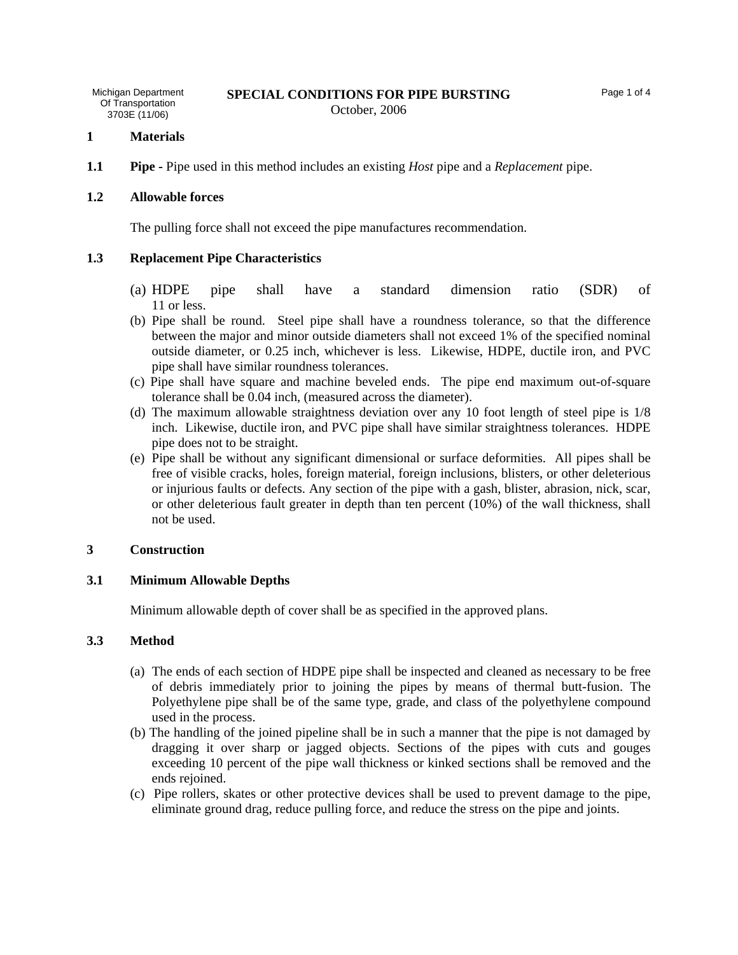October, 2006

## **1 Materials**

**1.1 Pipe -** Pipe used in this method includes an existing *Host* pipe and a *Replacement* pipe.

## **1.2 Allowable forces**

The pulling force shall not exceed the pipe manufactures recommendation.

# **1.3 Replacement Pipe Characteristics**

- (a) HDPE pipe shall have a standard dimension ratio (SDR) of 11 or less.
- (b) Pipe shall be round. Steel pipe shall have a roundness tolerance, so that the difference between the major and minor outside diameters shall not exceed 1% of the specified nominal outside diameter, or 0.25 inch, whichever is less. Likewise, HDPE, ductile iron, and PVC pipe shall have similar roundness tolerances.
- (c) Pipe shall have square and machine beveled ends. The pipe end maximum out-of-square tolerance shall be 0.04 inch, (measured across the diameter).
- (d) The maximum allowable straightness deviation over any 10 foot length of steel pipe is 1/8 inch. Likewise, ductile iron, and PVC pipe shall have similar straightness tolerances. HDPE pipe does not to be straight.
- (e) Pipe shall be without any significant dimensional or surface deformities. All pipes shall be free of visible cracks, holes, foreign material, foreign inclusions, blisters, or other deleterious or injurious faults or defects. Any section of the pipe with a gash, blister, abrasion, nick, scar, or other deleterious fault greater in depth than ten percent (10%) of the wall thickness, shall not be used.

# **3 Construction**

# **3.1 Minimum Allowable Depths**

Minimum allowable depth of cover shall be as specified in the approved plans.

# **3.3 Method**

- (a) The ends of each section of HDPE pipe shall be inspected and cleaned as necessary to be free of debris immediately prior to joining the pipes by means of thermal butt-fusion. The Polyethylene pipe shall be of the same type, grade, and class of the polyethylene compound used in the process.
- (b) The handling of the joined pipeline shall be in such a manner that the pipe is not damaged by dragging it over sharp or jagged objects. Sections of the pipes with cuts and gouges exceeding 10 percent of the pipe wall thickness or kinked sections shall be removed and the ends rejoined.
- (c) Pipe rollers, skates or other protective devices shall be used to prevent damage to the pipe, eliminate ground drag, reduce pulling force, and reduce the stress on the pipe and joints.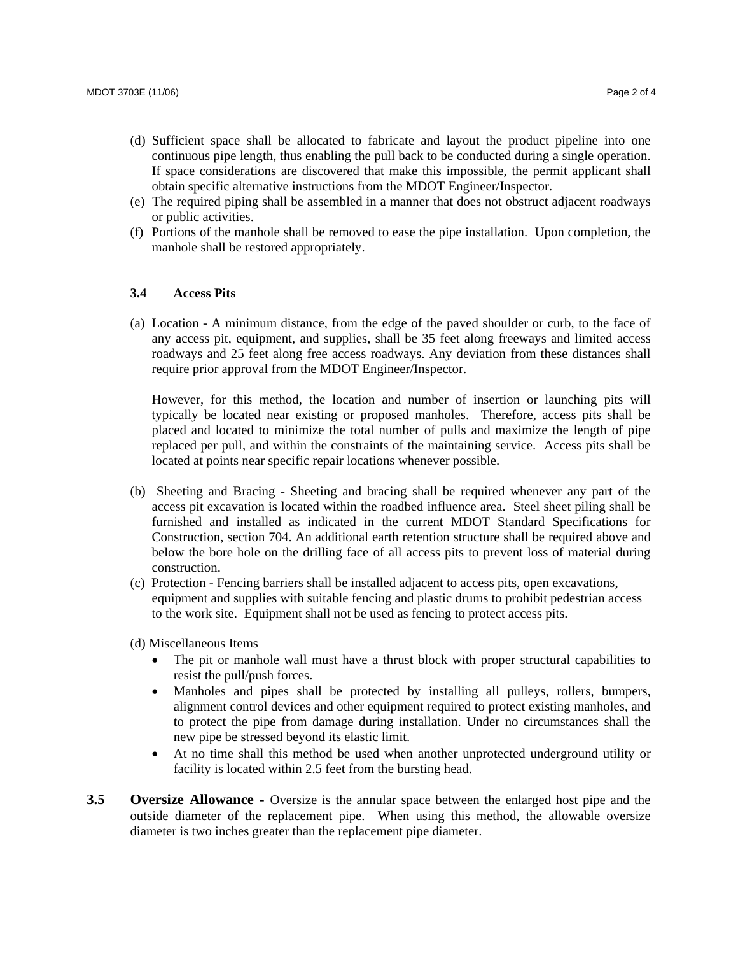- (d) Sufficient space shall be allocated to fabricate and layout the product pipeline into one continuous pipe length, thus enabling the pull back to be conducted during a single operation. If space considerations are discovered that make this impossible, the permit applicant shall obtain specific alternative instructions from the MDOT Engineer/Inspector.
- (e) The required piping shall be assembled in a manner that does not obstruct adjacent roadways or public activities.
- (f) Portions of the manhole shall be removed to ease the pipe installation. Upon completion, the manhole shall be restored appropriately.

## **3.4 Access Pits**

(a) Location - A minimum distance, from the edge of the paved shoulder or curb, to the face of any access pit, equipment, and supplies, shall be 35 feet along freeways and limited access roadways and 25 feet along free access roadways. Any deviation from these distances shall require prior approval from the MDOT Engineer/Inspector.

However, for this method, the location and number of insertion or launching pits will typically be located near existing or proposed manholes. Therefore, access pits shall be placed and located to minimize the total number of pulls and maximize the length of pipe replaced per pull, and within the constraints of the maintaining service. Access pits shall be located at points near specific repair locations whenever possible.

- (b) Sheeting and Bracing Sheeting and bracing shall be required whenever any part of the access pit excavation is located within the roadbed influence area. Steel sheet piling shall be furnished and installed as indicated in the current MDOT Standard Specifications for Construction, section 704. An additional earth retention structure shall be required above and below the bore hole on the drilling face of all access pits to prevent loss of material during construction.
- (c) Protection Fencing barriers shall be installed adjacent to access pits, open excavations, equipment and supplies with suitable fencing and plastic drums to prohibit pedestrian access to the work site. Equipment shall not be used as fencing to protect access pits.

(d) Miscellaneous Items

- The pit or manhole wall must have a thrust block with proper structural capabilities to resist the pull/push forces.
- Manholes and pipes shall be protected by installing all pulleys, rollers, bumpers, alignment control devices and other equipment required to protect existing manholes, and to protect the pipe from damage during installation. Under no circumstances shall the new pipe be stressed beyond its elastic limit.
- At no time shall this method be used when another unprotected underground utility or facility is located within 2.5 feet from the bursting head.
- **3.5 Oversize Allowance -** Oversize is the annular space between the enlarged host pipe and the outside diameter of the replacement pipe. When using this method, the allowable oversize diameter is two inches greater than the replacement pipe diameter.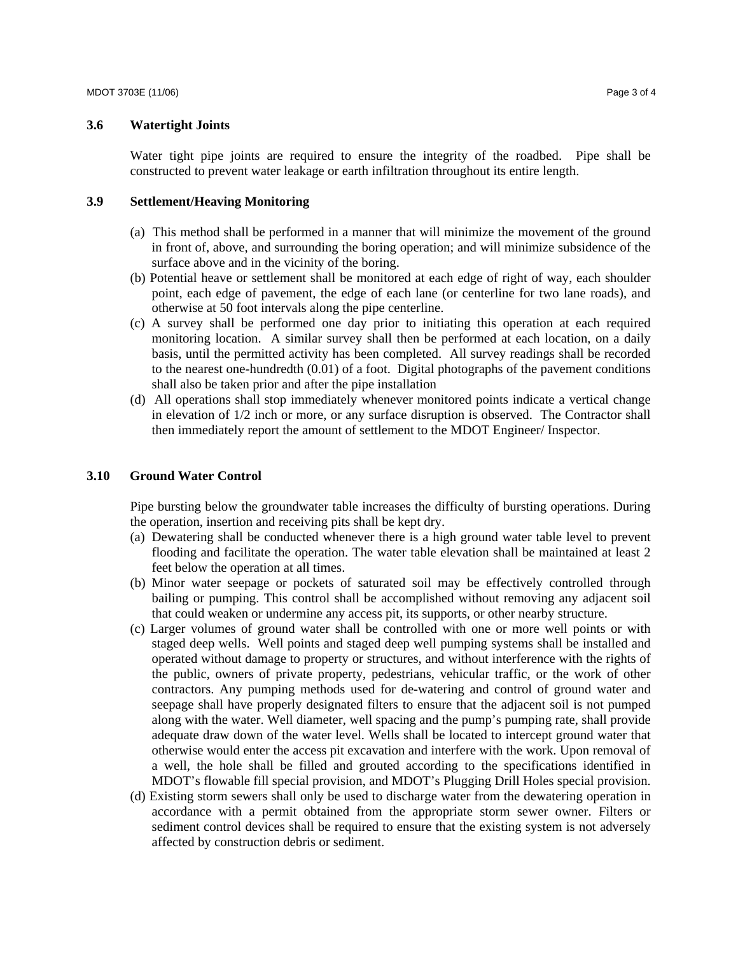## **3.6 Watertight Joints**

Water tight pipe joints are required to ensure the integrity of the roadbed. Pipe shall be constructed to prevent water leakage or earth infiltration throughout its entire length.

#### **3.9 Settlement/Heaving Monitoring**

- (a) This method shall be performed in a manner that will minimize the movement of the ground in front of, above, and surrounding the boring operation; and will minimize subsidence of the surface above and in the vicinity of the boring.
- (b) Potential heave or settlement shall be monitored at each edge of right of way, each shoulder point, each edge of pavement, the edge of each lane (or centerline for two lane roads), and otherwise at 50 foot intervals along the pipe centerline.
- (c) A survey shall be performed one day prior to initiating this operation at each required monitoring location. A similar survey shall then be performed at each location, on a daily basis, until the permitted activity has been completed. All survey readings shall be recorded to the nearest one-hundredth (0.01) of a foot. Digital photographs of the pavement conditions shall also be taken prior and after the pipe installation
- (d) All operations shall stop immediately whenever monitored points indicate a vertical change in elevation of 1/2 inch or more, or any surface disruption is observed. The Contractor shall then immediately report the amount of settlement to the MDOT Engineer/ Inspector.

#### **3.10 Ground Water Control**

Pipe bursting below the groundwater table increases the difficulty of bursting operations. During the operation, insertion and receiving pits shall be kept dry.

- (a) Dewatering shall be conducted whenever there is a high ground water table level to prevent flooding and facilitate the operation. The water table elevation shall be maintained at least 2 feet below the operation at all times.
- (b) Minor water seepage or pockets of saturated soil may be effectively controlled through bailing or pumping. This control shall be accomplished without removing any adjacent soil that could weaken or undermine any access pit, its supports, or other nearby structure.
- (c) Larger volumes of ground water shall be controlled with one or more well points or with staged deep wells. Well points and staged deep well pumping systems shall be installed and operated without damage to property or structures, and without interference with the rights of the public, owners of private property, pedestrians, vehicular traffic, or the work of other contractors. Any pumping methods used for de-watering and control of ground water and seepage shall have properly designated filters to ensure that the adjacent soil is not pumped along with the water. Well diameter, well spacing and the pump's pumping rate, shall provide adequate draw down of the water level. Wells shall be located to intercept ground water that otherwise would enter the access pit excavation and interfere with the work. Upon removal of a well, the hole shall be filled and grouted according to the specifications identified in MDOT's flowable fill special provision, and MDOT's Plugging Drill Holes special provision.
- (d) Existing storm sewers shall only be used to discharge water from the dewatering operation in accordance with a permit obtained from the appropriate storm sewer owner. Filters or sediment control devices shall be required to ensure that the existing system is not adversely affected by construction debris or sediment.